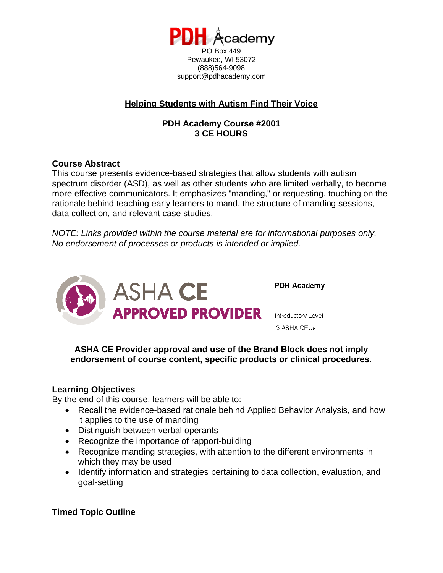

Pewaukee, WI 53072 (888)564-9098 support@pdhacademy.com

# **Helping Students with Autism Find Their Voice**

## **PDH Academy Course #2001 3 CE HOURS**

### **Course Abstract**

This course presents evidence-based strategies that allow students with autism spectrum disorder (ASD), as well as other students who are limited verbally, to become more effective communicators. It emphasizes "manding," or requesting, touching on the rationale behind teaching early learners to mand, the structure of manding sessions, data collection, and relevant case studies.

*NOTE: Links provided within the course material are for informational purposes only. No endorsement of processes or products is intended or implied.*



**PDH Academy** 

Introductory Level .3 ASHA CEUs

**ASHA CE Provider approval and use of the Brand Block does not imply endorsement of course content, specific products or clinical procedures.**

## **Learning Objectives**

By the end of this course, learners will be able to:

- Recall the evidence-based rationale behind Applied Behavior Analysis, and how it applies to the use of manding
- Distinguish between verbal operants
- Recognize the importance of rapport-building
- Recognize manding strategies, with attention to the different environments in which they may be used
- Identify information and strategies pertaining to data collection, evaluation, and goal-setting

## **Timed Topic Outline**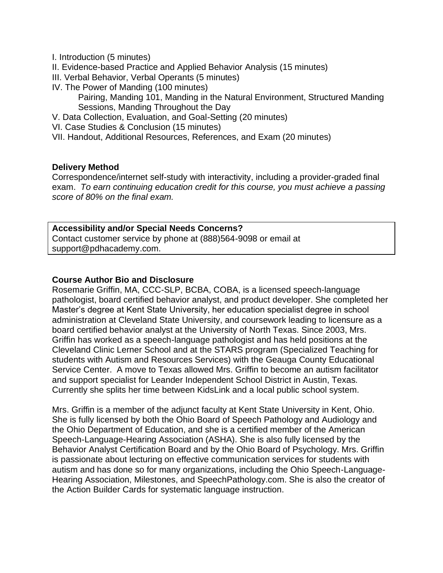- I. Introduction (5 minutes)
- II. Evidence-based Practice and Applied Behavior Analysis (15 minutes)
- III. Verbal Behavior, Verbal Operants (5 minutes)
- IV. The Power of Manding (100 minutes)

Pairing, Manding 101, Manding in the Natural Environment, Structured Manding Sessions, Manding Throughout the Day

- V. Data Collection, Evaluation, and Goal-Setting (20 minutes)
- VI. Case Studies & Conclusion (15 minutes)

VII. Handout, Additional Resources, References, and Exam (20 minutes)

#### **Delivery Method**

Correspondence/internet self-study with interactivity, including a provider-graded final exam. *To earn continuing education credit for this course, you must achieve a passing score of 80% on the final exam.*

#### **Accessibility and/or Special Needs Concerns?**

Contact customer service by phone at (888)564-9098 or email at support@pdhacademy.com.

#### **Course Author Bio and Disclosure**

Rosemarie Griffin, MA, CCC-SLP, BCBA, COBA, is a licensed speech-language pathologist, board certified behavior analyst, and product developer. She completed her Master's degree at Kent State University, her education specialist degree in school administration at Cleveland State University, and coursework leading to licensure as a board certified behavior analyst at the University of North Texas. Since 2003, Mrs. Griffin has worked as a speech-language pathologist and has held positions at the Cleveland Clinic Lerner School and at the STARS program (Specialized Teaching for students with Autism and Resources Services) with the Geauga County Educational Service Center. A move to Texas allowed Mrs. Griffin to become an autism facilitator and support specialist for Leander Independent School District in Austin, Texas. Currently she splits her time between KidsLink and a local public school system.

Mrs. Griffin is a member of the adjunct faculty at Kent State University in Kent, Ohio. She is fully licensed by both the Ohio Board of Speech Pathology and Audiology and the Ohio Department of Education, and she is a certified member of the American Speech-Language-Hearing Association (ASHA). She is also fully licensed by the Behavior Analyst Certification Board and by the Ohio Board of Psychology. Mrs. Griffin is passionate about lecturing on effective communication services for students with autism and has done so for many organizations, including the Ohio Speech-Language-Hearing Association, Milestones, and SpeechPathology.com. She is also the creator of the Action Builder Cards for systematic language instruction.